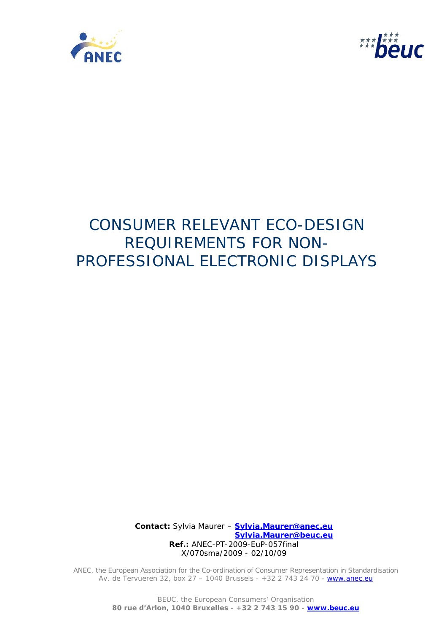



# CONSUMER RELEVANT ECO-DESIGN REQUIREMENTS FOR NON-PROFESSIONAL ELECTRONIC DISPLAYS

 **Contact:** Sylvia Maurer – **Sylvia.Maurer@anec.eu Sylvia.Maurer@beuc.eu Ref.:** ANEC-PT-2009-EuP-057final X/070sma/2009 - 02/10/09

ANEC, the European Association for the Co-ordination of Consumer Representation in Standardisation Av. de Tervueren 32, box 27 - 1040 Brussels - +32 2 743 24 70 - www.anec.eu

> BEUC, the European Consumers' Organisation **80 rue d'Arlon, 1040 Bruxelles - +32 2 743 15 90 - www.beuc.eu**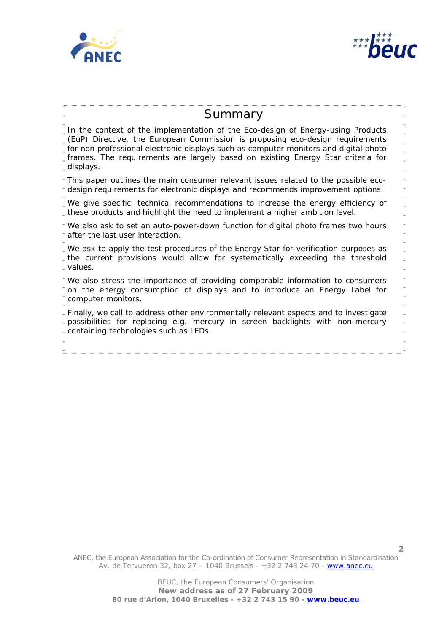



| Summary                                                                                                                                                                                                                                                                                                                                                  |  |
|----------------------------------------------------------------------------------------------------------------------------------------------------------------------------------------------------------------------------------------------------------------------------------------------------------------------------------------------------------|--|
| In the context of the implementation of the Eco-design of Energy-using Products<br>(EuP) Directive, the European Commission is proposing eco-design requirements<br>for non professional electronic displays such as computer monitors and digital photo<br>frames. The requirements are largely based on existing Energy Star criteria for<br>displays. |  |
| This paper outlines the main consumer relevant issues related to the possible eco-<br>design requirements for electronic displays and recommends improvement options.                                                                                                                                                                                    |  |
| . We give specific, technical recommendations to increase the energy efficiency of<br>these products and highlight the need to implement a higher ambition level.                                                                                                                                                                                        |  |
| We also ask to set an auto-power-down function for digital photo frames two hours<br>after the last user interaction.                                                                                                                                                                                                                                    |  |
| . We ask to apply the test procedures of the Energy Star for verification purposes as<br>the current provisions would allow for systematically exceeding the threshold<br>. values.                                                                                                                                                                      |  |
| We also stress the importance of providing comparable information to consumers<br>on the energy consumption of displays and to introduce an Energy Label for<br>computer monitors.                                                                                                                                                                       |  |
| - Finally, we call to address other environmentally relevant aspects and to investigate<br>- possibilities for replacing e.g. mercury in screen backlights with non-mercury<br>- containing technologies such as LEDs.                                                                                                                                   |  |
|                                                                                                                                                                                                                                                                                                                                                          |  |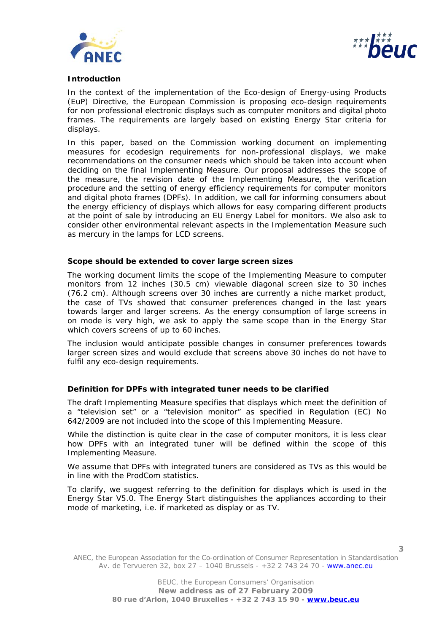



#### **Introduction**

In the context of the implementation of the Eco-design of Energy-using Products (EuP) Directive, the European Commission is proposing eco-design requirements for non professional electronic displays such as computer monitors and digital photo frames. The requirements are largely based on existing Energy Star criteria for displays.

In this paper, based on the Commission working document on implementing measures for ecodesign requirements for non-professional displays, we make recommendations on the consumer needs which should be taken into account when deciding on the final Implementing Measure. Our proposal addresses the scope of the measure, the revision date of the Implementing Measure, the verification procedure and the setting of energy efficiency requirements for computer monitors and digital photo frames (DPFs). In addition, we call for informing consumers about the energy efficiency of displays which allows for easy comparing different products at the point of sale by introducing an EU Energy Label for monitors. We also ask to consider other environmental relevant aspects in the Implementation Measure such as mercury in the lamps for LCD screens.

#### **Scope should be extended to cover large screen sizes**

The working document limits the scope of the Implementing Measure to computer monitors from 12 inches (30.5 cm) viewable diagonal screen size to 30 inches (76.2 cm). Although screens over 30 inches are currently a niche market product, the case of TVs showed that consumer preferences changed in the last years towards larger and larger screens. As the energy consumption of large screens in on mode is very high, we ask to apply the same scope than in the Energy Star which covers screens of up to 60 inches.

The inclusion would anticipate possible changes in consumer preferences towards larger screen sizes and would exclude that screens above 30 inches do not have to fulfil any eco-design requirements.

# **Definition for DPFs with integrated tuner needs to be clarified**

The draft Implementing Measure specifies that displays which meet the definition of a "television set" or a "television monitor" as specified in Regulation (EC) No 642/2009 are not included into the scope of this Implementing Measure.

While the distinction is quite clear in the case of computer monitors, it is less clear how DPFs with an integrated tuner will be defined within the scope of this Implementing Measure.

We assume that DPFs with integrated tuners are considered as TVs as this would be in line with the ProdCom statistics.

To clarify, we suggest referring to the definition for displays which is used in the Energy Star V5.0. The Energy Start distinguishes the appliances according to their mode of marketing, i.e. if marketed as display or as TV.

ANEC, the European Association for the Co-ordination of Consumer Representation in Standardisation Av. de Tervueren 32, box 27 – 1040 Brussels - +32 2 743 24 70 - www.anec.eu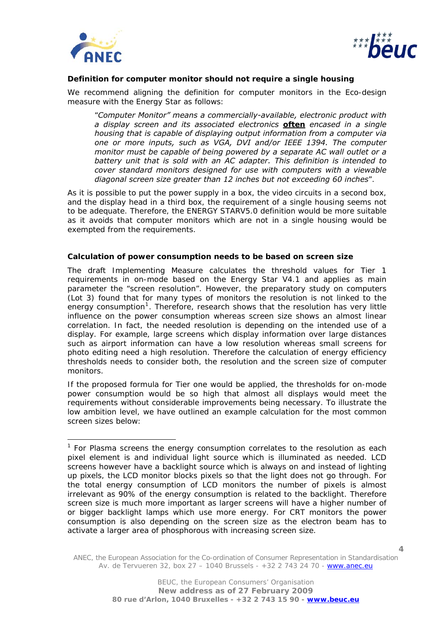

l



## **Definition for computer monitor should not require a single housing**

We recommend aligning the definition for computer monitors in the Eco-design measure with the Energy Star as follows:

"*Computer Monitor" means a commercially-available, electronic product with a display screen and its associated electronics often encased in a single housing that is capable of displaying output information from a computer via one or more inputs, such as VGA, DVI and/or IEEE 1394. The computer monitor must be capable of being powered by a separate AC wall outlet or a battery unit that is sold with an AC adapter. This definition is intended to cover standard monitors designed for use with computers with a viewable diagonal screen size greater than 12 inches but not exceeding 60 inches*".

As it is possible to put the power supply in a box, the video circuits in a second box, and the display head in a third box, the requirement of a single housing seems not to be adequate. Therefore, the ENERGY STARV5.0 definition would be more suitable as it avoids that computer monitors which are not in a single housing would be exempted from the requirements.

#### **Calculation of power consumption needs to be based on screen size**

The draft Implementing Measure calculates the threshold values for Tier 1 requirements in on-mode based on the Energy Star V4.1 and applies as main parameter the "screen resolution". However, the preparatory study on computers (Lot 3) found that for many types of monitors the resolution is not linked to the energy consumption<sup>[1](#page-3-0)</sup>. Therefore, research shows that the resolution has very little influence on the power consumption whereas screen size shows an almost linear correlation. In fact, the needed resolution is depending on the intended use of a display. For example, large screens which display information over large distances such as airport information can have a low resolution whereas small screens for photo editing need a high resolution. Therefore the calculation of energy efficiency thresholds needs to consider both, the resolution and the screen size of computer monitors.

If the proposed formula for Tier one would be applied, the thresholds for on-mode power consumption would be so high that almost all displays would meet the requirements without considerable improvements being necessary. To illustrate the low ambition level, we have outlined an example calculation for the most common screen sizes below:

ANEC, the European Association for the Co-ordination of Consumer Representation in Standardisation Av. de Tervueren 32, box 27 – 1040 Brussels - +32 2 743 24 70 - www.anec.eu

<span id="page-3-0"></span> $1$  For Plasma screens the energy consumption correlates to the resolution as each pixel element is and individual light source which is illuminated as needed. LCD screens however have a backlight source which is always on and instead of lighting up pixels, the LCD monitor blocks pixels so that the light does not go through. For the total energy consumption of LCD monitors the number of pixels is almost irrelevant as 90% of the energy consumption is related to the backlight. Therefore screen size is much more important as larger screens will have a higher number of or bigger backlight lamps which use more energy. For CRT monitors the power consumption is also depending on the screen size as the electron beam has to activate a larger area of phosphorous with increasing screen size.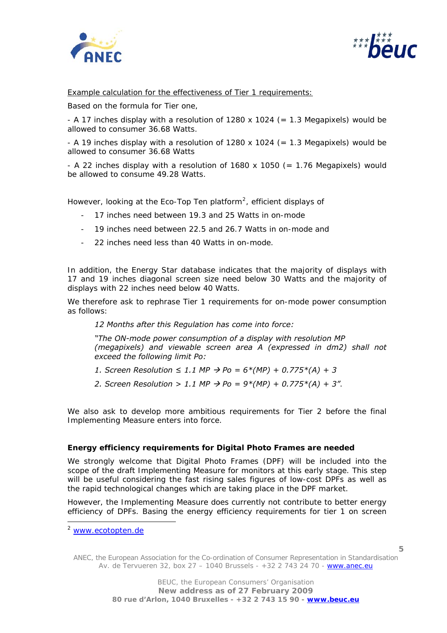



Example calculation for the effectiveness of Tier 1 requirements:

Based on the formula for Tier one,

- A 17 inches display with a resolution of 1280 x 1024 ( $= 1.3$  Megapixels) would be allowed to consumer 36.68 Watts.

- A 19 inches display with a resolution of 1280 x 1024 (= 1.3 Megapixels) would be allowed to consumer 36.68 Watts

- A 22 inches display with a resolution of 1680 x 1050 (= 1.76 Megapixels) would be allowed to consume 49.28 Watts.

However, looking at the Eco-Top Ten platform<sup>[2](#page-4-0)</sup>, efficient displays of

- 17 inches need between 19.3 and 25 Watts in on-mode
- 19 inches need between 22.5 and 26.7 Watts in on-mode and
- 22 inches need less than 40 Watts in on-mode.

In addition, the Energy Star database indicates that the majority of displays with 17 and 19 inches diagonal screen size need below 30 Watts and the majority of displays with 22 inches need below 40 Watts.

We therefore ask to rephrase Tier 1 requirements for on-mode power consumption as follows:

*12 Months after this Regulation has come into force:* 

*"The ON-mode power consumption of a display with resolution MP (megapixels) and viewable screen area A (expressed in dm2) shall not exceed the following limit Po:* 

- *1.* Screen Resolution ≤ 1.1 MP  $\rightarrow$  Po = 6\*(MP) + 0.775\*(A) + 3
- 2. Screen Resolution > 1.1 MP  $\rightarrow$  Po = 9\*(MP) + 0.775\*(A) + 3".

We also ask to develop more ambitious requirements for Tier 2 before the final Implementing Measure enters into force.

#### **Energy efficiency requirements for Digital Photo Frames are needed**

We strongly welcome that Digital Photo Frames (DPF) will be included into the scope of the draft Implementing Measure for monitors at this early stage. This step will be useful considering the fast rising sales figures of low-cost DPFs as well as the rapid technological changes which are taking place in the DPF market.

However, the Implementing Measure does currently not contribute to better energy efficiency of DPFs. Basing the energy efficiency requirements for tier 1 on screen

ł

ANEC, the European Association for the Co-ordination of Consumer Representation in Standardisation Av. de Tervueren 32, box 27 – 1040 Brussels - +32 2 743 24 70 - www.anec.eu

<span id="page-4-0"></span><sup>2</sup> [www.ecotopten.de](http://www.ecotopten.de/)

**<sup>5</sup>**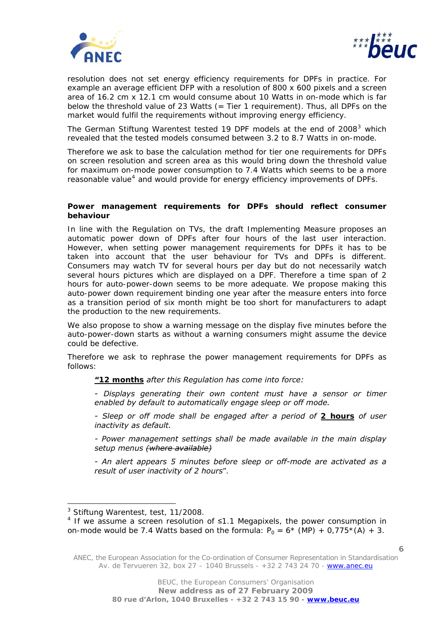



resolution does not set energy efficiency requirements for DPFs in practice. For example an average efficient DFP with a resolution of 800 x 600 pixels and a screen area of 16.2 cm x 12.1 cm would consume about 10 Watts in on-mode which is far below the threshold value of 23 Watts (= Tier 1 requirement). Thus, all DPFs on the market would fulfil the requirements without improving energy efficiency.

The German Stiftung Warentest tested 19 DPF models at the end of 2008 $3$  which revealed that the tested models consumed between 3.2 to 8.7 Watts in on-mode.

Therefore we ask to base the calculation method for tier one requirements for DPFs on screen resolution and screen area as this would bring down the threshold value for maximum on-mode power consumption to 7.4 Watts which seems to be a more reasonable value<sup>[4](#page-5-1)</sup> and would provide for energy efficiency improvements of DPFs.

## **Power management requirements for DPFs should reflect consumer behaviour**

In line with the Regulation on TVs, the draft Implementing Measure proposes an automatic power down of DPFs after four hours of the last user interaction. However, when setting power management requirements for DPFs it has to be taken into account that the user behaviour for TVs and DPFs is different. Consumers may watch TV for several hours per day but do not necessarily watch several hours pictures which are displayed on a DPF. Therefore a time span of 2 hours for auto-power-down seems to be more adequate. We propose making this auto-power down requirement binding one year after the measure enters into force as a transition period of six month might be too short for manufacturers to adapt the production to the new requirements.

We also propose to show a warning message on the display five minutes before the auto-power-down starts as without a warning consumers might assume the device could be defective.

Therefore we ask to rephrase the power management requirements for DPFs as follows:

*"12 months after this Regulation has come into force:* 

*- Displays generating their own content must have a sensor or timer enabled by default to automatically engage sleep or off mode.* 

*- Sleep or off mode shall be engaged after a period of 2 hours of user inactivity as default.* 

*- Power management settings shall be made available in the main display setup menus (where available)*

*- An alert appears 5 minutes before sleep or off-mode are activated as a result of user inactivity of 2 hours*".

ł

<span id="page-5-0"></span><sup>&</sup>lt;sup>3</sup> Stiftung Warentest, test, 11/2008.

<span id="page-5-1"></span><sup>&</sup>lt;sup>4</sup> If we assume a screen resolution of  $\leq$ 1.1 Megapixels, the power consumption in on-mode would be 7.4 Watts based on the formula:  $P_0 = 6*$  (MP) + 0,775\*(A) + 3.

ANEC, the European Association for the Co-ordination of Consumer Representation in Standardisation Av. de Tervueren 32, box 27 – 1040 Brussels - +32 2 743 24 70 - www.anec.eu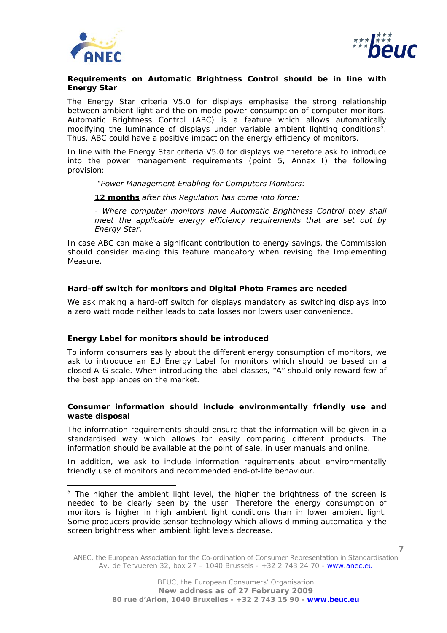

l



## **Requirements on Automatic Brightness Control should be in line with Energy Star**

The Energy Star criteria V5.0 for displays emphasise the strong relationship between ambient light and the on mode power consumption of computer monitors. Automatic Brightness Control (ABC) is a feature which allows automatically modifying the luminance of displays under variable ambient lighting conditions<sup>[5](#page-6-0)</sup>. Thus, ABC could have a positive impact on the energy efficiency of monitors.

In line with the Energy Star criteria V5.0 for displays we therefore ask to introduce into the power management requirements (point 5, Annex I) the following provision:

"*Power Management Enabling for Computers Monitors:* 

*12 months after this Regulation has come into force:* 

*- Where computer monitors have Automatic Brightness Control they shall meet the applicable energy efficiency requirements that are set out by Energy Star.* 

In case ABC can make a significant contribution to energy savings, the Commission should consider making this feature mandatory when revising the Implementing Measure.

# **Hard-off switch for monitors and Digital Photo Frames are needed**

We ask making a hard-off switch for displays mandatory as switching displays into a zero watt mode neither leads to data losses nor lowers user convenience.

# **Energy Label for monitors should be introduced**

To inform consumers easily about the different energy consumption of monitors, we ask to introduce an EU Energy Label for monitors which should be based on a closed A-G scale. When introducing the label classes, "A" should only reward few of the best appliances on the market.

## **Consumer information should include environmentally friendly use and waste disposal**

The information requirements should ensure that the information will be given in a standardised way which allows for easily comparing different products. The information should be available at the point of sale, in user manuals and online.

In addition, we ask to include information requirements about environmentally friendly use of monitors and recommended end-of-life behaviour.

ANEC, the European Association for the Co-ordination of Consumer Representation in Standardisation Av. de Tervueren 32, box 27 – 1040 Brussels - +32 2 743 24 70 - www.anec.eu

<span id="page-6-0"></span> $5$  The higher the ambient light level, the higher the brightness of the screen is needed to be clearly seen by the user. Therefore the energy consumption of monitors is higher in high ambient light conditions than in lower ambient light. Some producers provide sensor technology which allows dimming automatically the screen brightness when ambient light levels decrease.